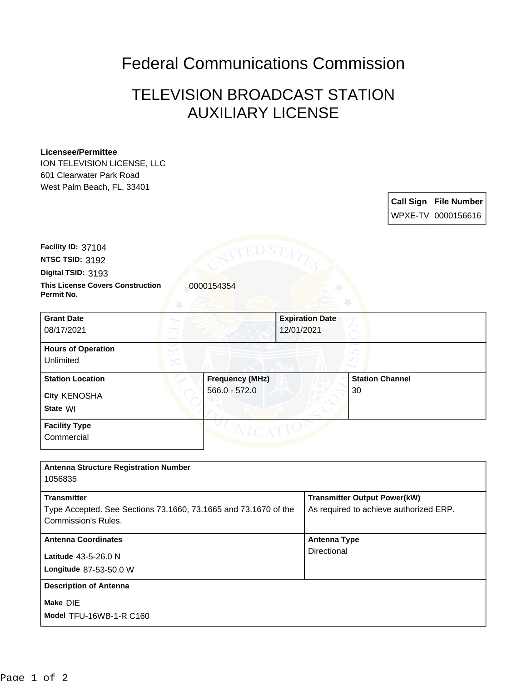Federal Communications Commission

## TELEVISION BROADCAST STATION AUXILIARY LICENSE

## **Licensee/Permittee**

ION TELEVISION LICENSE, LLC 601 Clearwater Park Road West Palm Beach, FL, 33401

| <b>Call Sign</b> | <b>File Number</b> |
|------------------|--------------------|
|                  | WPXE-TV 0000156616 |

**This License Covers Construction 10000154354 Permit No. Digital TSID:** 3193 **NTSC TSID:** 3192 **Facility ID:** 37104

| <b>Grant Date</b>         |                        | <b>Expiration Date</b> |                        |
|---------------------------|------------------------|------------------------|------------------------|
| 08/17/2021                |                        | 12/01/2021             |                        |
| <b>Hours of Operation</b> |                        |                        |                        |
| Unlimited                 |                        |                        |                        |
| <b>Station Location</b>   | <b>Frequency (MHz)</b> |                        | <b>Station Channel</b> |
| City KENOSHA              | $566.0 - 572.0$        |                        | 30                     |
| State WI                  |                        |                        |                        |
| <b>Facility Type</b>      |                        |                        |                        |
| Commercial                |                        |                        |                        |

| <b>Antenna Structure Registration Number</b><br>1056835                                                             |                                                                               |
|---------------------------------------------------------------------------------------------------------------------|-------------------------------------------------------------------------------|
| <b>Transmitter</b><br>Type Accepted. See Sections 73.1660, 73.1665 and 73.1670 of the<br><b>Commission's Rules.</b> | <b>Transmitter Output Power(kW)</b><br>As required to achieve authorized ERP. |
| <b>Antenna Coordinates</b><br>Latitude 43-5-26.0 N<br>Longitude 87-53-50.0 W                                        | <b>Antenna Type</b><br>Directional                                            |
| <b>Description of Antenna</b><br>Make DIE<br>Model TFU-16WB-1-R C160                                                |                                                                               |